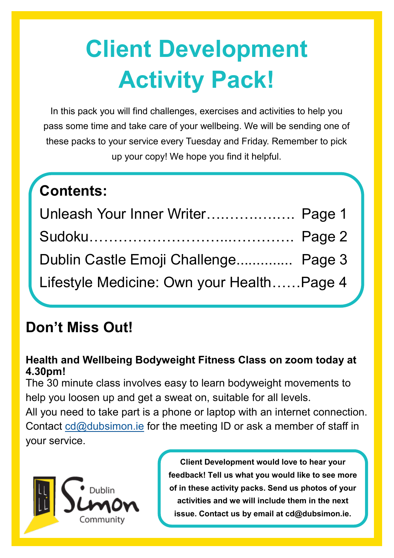# **Client Development Activity Pack!**

In this pack you will find challenges, exercises and activities to help you pass some time and take care of your wellbeing. We will be sending one of these packs to your service every Tuesday and Friday. Remember to pick up your copy! We hope you find it helpful.

| Contents:                                 |  |
|-------------------------------------------|--|
| Unleash Your Inner Writer Page 1          |  |
|                                           |  |
| Dublin Castle Emoji Challenge Page 3      |  |
| Lifestyle Medicine: Own your HealthPage 4 |  |

### **Don't Miss Out!**

#### **Health and Wellbeing Bodyweight Fitness Class on zoom today at 4.30pm!**

The 30 minute class involves easy to learn bodyweight movements to help you loosen up and get a sweat on, suitable for all levels.

All you need to take part is a phone or laptop with an internet connection. Contact [cd@dubsimon.ie](mailto:cd@dubsimon.ie) for the meeting ID or ask a member of staff in your service.



**Client Development would love to hear your feedback! Tell us what you would like to see more of in these activity packs. Send us photos of your activities and we will include them in the next issue. Contact us by email at cd@dubsimon.ie.**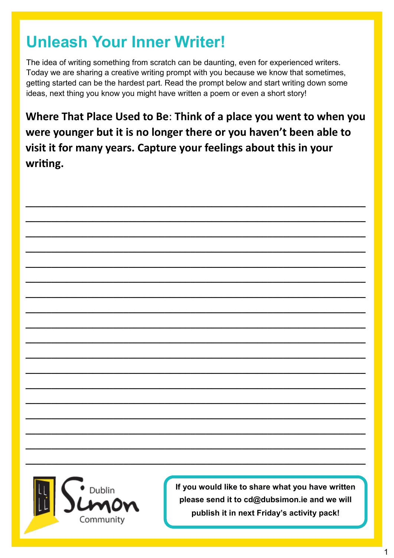### **Unleash Your Inner Writer!**

The idea of writing something from scratch can be daunting, even for experienced writers. Today we are sharing a creative writing prompt with you because we know that sometimes, getting started can be the hardest part. Read the prompt below and start writing down some ideas, next thing you know you might have written a poem or even a short story!

**Where That Place Used to Be**: **Think of a place you went to when you were younger but it is no longer there or you haven't been able to visit it for many years. Capture your feelings about this in your writing.**

**\_\_\_\_\_\_\_\_\_\_\_\_\_\_\_\_\_\_\_\_\_\_\_\_\_\_\_\_\_\_\_\_\_\_\_\_\_\_\_\_\_\_\_\_\_\_\_\_\_\_\_\_\_\_\_\_\_\_\_\_\_\_\_\_\_\_**

**\_\_\_\_\_\_\_\_\_\_\_\_\_\_\_\_\_\_\_\_\_\_\_\_\_\_\_\_\_\_\_\_\_\_\_\_\_\_\_\_\_\_\_\_\_\_\_\_\_\_\_\_\_\_\_\_\_\_\_\_\_\_\_\_\_\_**

**\_\_\_\_\_\_\_\_\_\_\_\_\_\_\_\_\_\_\_\_\_\_\_\_\_\_\_\_\_\_\_\_\_\_\_\_\_\_\_\_\_\_\_\_\_\_\_\_\_\_\_\_\_\_\_\_\_\_\_\_\_\_\_\_\_\_**

**\_\_\_\_\_\_\_\_\_\_\_\_\_\_\_\_\_\_\_\_\_\_\_\_\_\_\_\_\_\_\_\_\_\_\_\_\_\_\_\_\_\_\_\_\_\_\_\_\_\_\_\_\_\_\_\_\_\_\_\_\_\_\_\_\_\_**

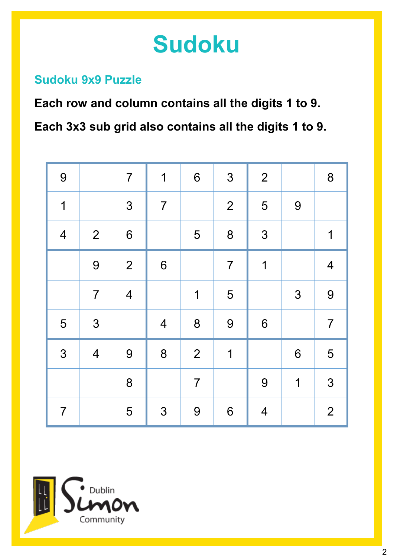# **Sudoku**

#### **Sudoku 9x9 Puzzle**

**Each row and column contains all the digits 1 to 9. Each 3x3 sub grid also contains all the digits 1 to 9.**

| 9                        |                         | $\overline{7}$          | $\mathbf 1$             | $\boldsymbol{6}$ | 3                | $\overline{2}$           |             | 8                       |
|--------------------------|-------------------------|-------------------------|-------------------------|------------------|------------------|--------------------------|-------------|-------------------------|
| $\overline{1}$           |                         | 3                       | $\overline{7}$          |                  | $\overline{2}$   | 5                        | 9           |                         |
| $\overline{\mathcal{A}}$ | $\overline{2}$          | 6                       |                         | 5                | 8                | 3                        |             | 1                       |
|                          | 9                       | 2                       | $6\phantom{a}$          |                  | $\overline{7}$   | $\overline{1}$           |             | $\overline{\mathbf{4}}$ |
|                          | $\overline{7}$          | $\overline{\mathbf{4}}$ |                         | $\mathbf 1$      | 5                |                          | 3           | 9                       |
| 5                        | 3                       |                         | $\overline{\mathbf{4}}$ | 8                | 9                | 6                        |             | $\overline{7}$          |
| 3                        | $\overline{\mathbf{4}}$ | 9                       | 8                       | $\overline{2}$   | $\overline{1}$   |                          | 6           | 5                       |
|                          |                         | 8                       |                         | $\overline{7}$   |                  | 9                        | $\mathbf 1$ | 3                       |
| $\overline{7}$           |                         | 5                       | 3                       | $\boldsymbol{9}$ | $\boldsymbol{6}$ | $\overline{\mathcal{A}}$ |             | $\overline{2}$          |

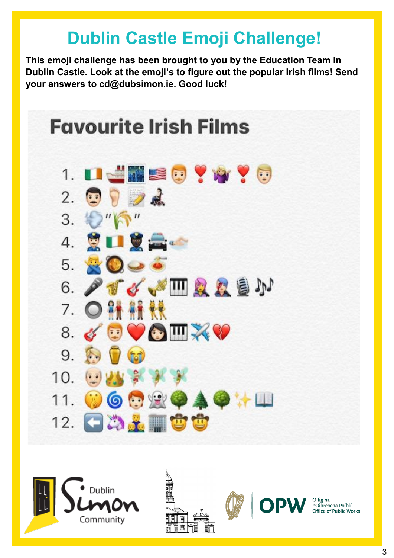# **Dublin Castle Emoji Challenge!**

**This emoji challenge has been brought to you by the Education Team in Dublin Castle. Look at the emoji's to figure out the popular Irish films! Send your answers to cd@dubsimon.ie. Good luck!**